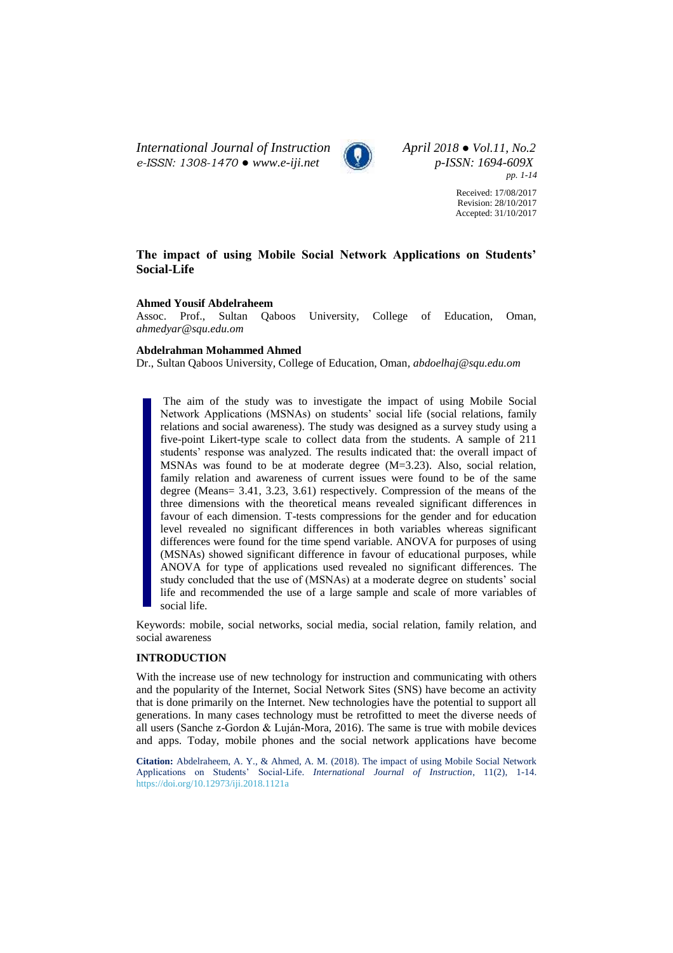*International Journal of Instruction April 2018 ● Vol.11, No.2 e-ISSN: 1308-1470 ● [www.e-iji.net](http://www.e-iji.net/) p-ISSN: 1694-609X*



*pp. 1-14*

Received: 17/08/2017 Revision: 28/10/2017 Accepted: 31/10/2017

# **The impact of using Mobile Social Network Applications on Students' Social-Life**

#### **Ahmed Yousif Abdelraheem**

Assoc. Prof., Sultan Qaboos University, College of Education, Oman, *[ahmedyar@squ.edu.om](mailto:ahmedyar@squ.edu.om)*

#### **Abdelrahman Mohammed Ahmed**

Dr., Sultan Qaboos University, College of Education, Oman*, [abdoelhaj@squ.edu.om](mailto:abdoelhaj@squ.edu.om)*

The aim of the study was to investigate the impact of using Mobile Social Network Applications (MSNAs) on students' social life (social relations, family relations and social awareness). The study was designed as a survey study using a five-point Likert-type scale to collect data from the students. A sample of 211 students' response was analyzed. The results indicated that: the overall impact of MSNAs was found to be at moderate degree (M=3.23). Also, social relation, family relation and awareness of current issues were found to be of the same degree (Means= 3.41, 3.23, 3.61) respectively. Compression of the means of the three dimensions with the theoretical means revealed significant differences in favour of each dimension. T-tests compressions for the gender and for education level revealed no significant differences in both variables whereas significant differences were found for the time spend variable. ANOVA for purposes of using (MSNAs) showed significant difference in favour of educational purposes, while ANOVA for type of applications used revealed no significant differences. The study concluded that the use of (MSNAs) at a moderate degree on students' social life and recommended the use of a large sample and scale of more variables of social life.

Keywords: mobile, social networks, social media, social relation, family relation, and social awareness

### **INTRODUCTION**

With the increase use of new technology for instruction and communicating with others and the popularity of the Internet, Social Network Sites (SNS) have become an activity that is done primarily on the Internet. New technologies have the potential to support all generations. In many cases technology must be retrofitted to meet the diverse needs of all users (Sanche z-Gordon & Luján-Mora, 2016). The same is true with mobile devices and apps. Today, mobile phones and the social network applications have become

**Citation:** Abdelraheem, A. Y., & Ahmed, A. M. (2018). The impact of using Mobile Social Network Applications on Students' Social-Life. *International Journal of Instruction*, 11(2), 1-14. <https://doi.org/10.12973/iji.2018.1121a>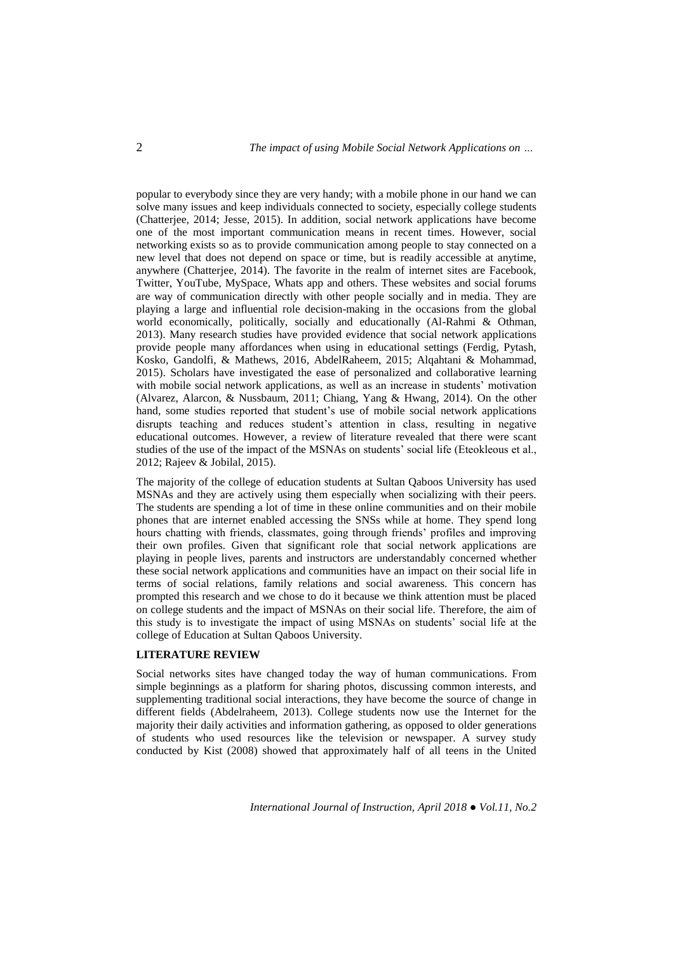popular to everybody since they are very handy; with a mobile phone in our hand we can solve many issues and keep individuals connected to society, especially college students (Chatterjee, 2014; Jesse, 2015). In addition, social network applications have become one of the most important communication means in recent times. However, social networking exists so as to provide communication among people to stay connected on a new level that does not depend on space or time, but is readily accessible at anytime, anywhere (Chatterjee, 2014). The favorite in the realm of internet sites are Facebook, Twitter, YouTube, MySpace, Whats app and others. These websites and social forums are way of communication directly with other people socially and in media. They are playing a large and influential role decision-making in the occasions from the global world economically, politically, socially and educationally (Al-Rahmi & Othman, 2013). Many research studies have provided evidence that social network applications provide people many affordances when using in educational settings (Ferdig, Pytash, Kosko, Gandolfi, & Mathews, 2016, AbdelRaheem, 2015; Alqahtani & Mohammad, 2015). Scholars have investigated the ease of personalized and collaborative learning with mobile social network applications, as well as an increase in students' motivation (Alvarez, Alarcon, & Nussbaum, 2011; Chiang, Yang & Hwang, 2014). On the other hand, some studies reported that student's use of mobile social network applications disrupts teaching and reduces student's attention in class, resulting in negative educational outcomes. However, a review of literature revealed that there were scant studies of the use of the impact of the MSNAs on students' social life (Eteokleous et al., 2012; Rajeev & Jobilal, 2015).

The majority of the college of education students at Sultan Qaboos University has used MSNAs and they are actively using them especially when socializing with their peers. The students are spending a lot of time in these online communities and on their mobile phones that are internet enabled accessing the SNSs while at home. They spend long hours chatting with friends, classmates, going through friends' profiles and improving their own profiles. Given that significant role that social network applications are playing in people lives, parents and instructors are understandably concerned whether these social network applications and communities have an impact on their social life in terms of social relations, family relations and social awareness. This concern has prompted this research and we chose to do it because we think attention must be placed on college students and the impact of MSNAs on their social life. Therefore, the aim of this study is to investigate the impact of using MSNAs on students' social life at the college of Education at Sultan Qaboos University.

# **LITERATURE REVIEW**

Social networks sites have changed today the way of human communications. From simple beginnings as a platform for sharing photos, discussing common interests, and supplementing traditional social interactions, they have become the source of change in different fields (Abdelraheem, 2013). College students now use the Internet for the majority their daily activities and information gathering, as opposed to older generations of students who used resources like the television or newspaper. A survey study conducted by Kist (2008) showed that approximately half of all teens in the United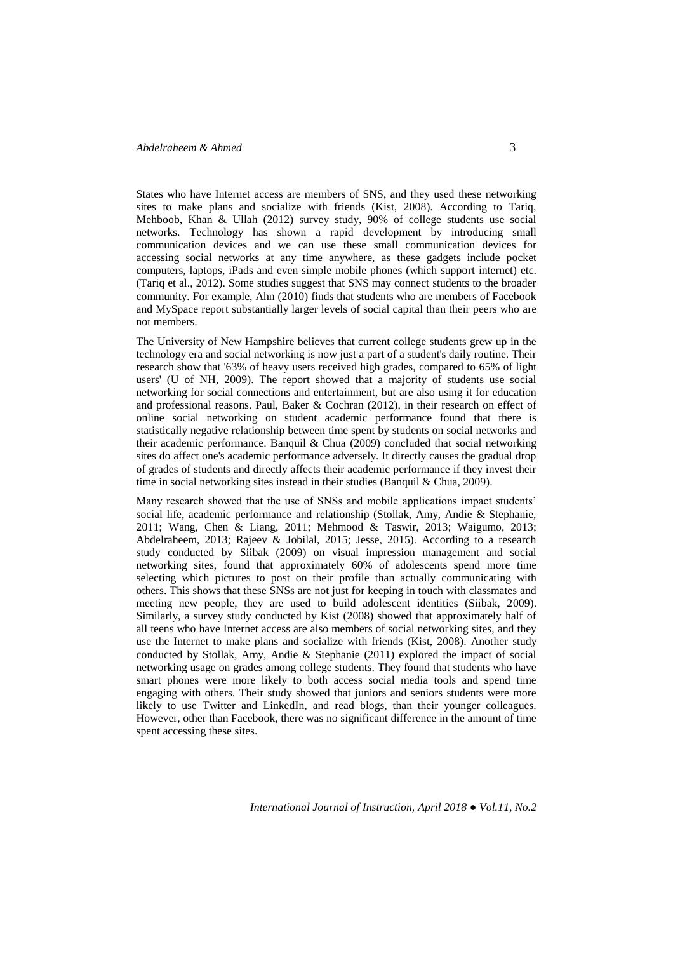States who have Internet access are members of SNS, and they used these networking sites to make plans and socialize with friends (Kist, 2008). According to Tariq, Mehboob, Khan & Ullah (2012) survey study, 90% of college students use social networks. Technology has shown a rapid development by introducing small communication devices and we can use these small communication devices for accessing social networks at any time anywhere, as these gadgets include pocket computers, laptops, iPads and even simple mobile phones (which support internet) etc. (Tariq et al., 2012). Some studies suggest that SNS may connect students to the broader community. For example, Ahn (2010) finds that students who are members of Facebook and MySpace report substantially larger levels of social capital than their peers who are not members.

The University of New Hampshire believes that current college students grew up in the technology era and social networking is now just a part of a student's daily routine. Their research show that '63% of heavy users received high grades, compared to 65% of light users' (U of NH, 2009). The report showed that a majority of students use social networking for social connections and entertainment, but are also using it for education and professional reasons. Paul, Baker & Cochran (2012), in their research on effect of online social networking on student academic performance found that there is statistically negative relationship between time spent by students on social networks and their academic performance. Banquil & Chua (2009) concluded that social networking sites do affect one's academic performance adversely. It directly causes the gradual drop of grades of students and directly affects their academic performance if they invest their time in social networking sites instead in their studies (Banquil & Chua, 2009).

Many research showed that the use of SNSs and mobile applications impact students' social life, academic performance and relationship (Stollak, Amy, Andie & Stephanie, 2011; Wang, Chen & Liang, 2011; Mehmood & Taswir, 2013; Waigumo, 2013; Abdelraheem, 2013; Rajeev & Jobilal, 2015; Jesse, 2015). According to a research study conducted by Siibak (2009) on visual impression management and social networking sites, found that approximately 60% of adolescents spend more time selecting which pictures to post on their profile than actually communicating with others. This shows that these SNSs are not just for keeping in touch with classmates and meeting new people, they are used to build adolescent identities (Siibak, 2009). Similarly, a survey study conducted by Kist (2008) showed that approximately half of all teens who have Internet access are also members of social networking sites, and they use the Internet to make plans and socialize with friends (Kist, 2008). Another study conducted by Stollak, Amy, Andie & Stephanie (2011) explored the impact of social networking usage on grades among college students. They found that students who have smart phones were more likely to both access social media tools and spend time engaging with others. Their study showed that juniors and seniors students were more likely to use Twitter and LinkedIn, and read blogs, than their younger colleagues. However, other than Facebook, there was no significant difference in the amount of time spent accessing these sites.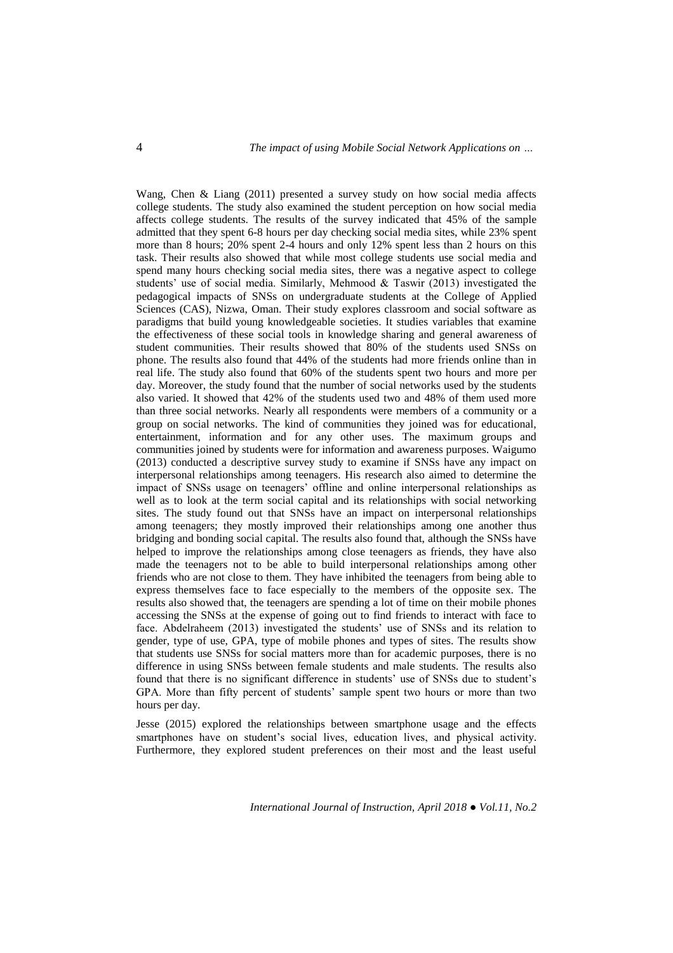Wang, Chen & Liang (2011) presented a survey study on how social media affects college students. The study also examined the student perception on how social media affects college students. The results of the survey indicated that 45% of the sample admitted that they spent 6-8 hours per day checking social media sites, while 23% spent more than 8 hours; 20% spent 2-4 hours and only 12% spent less than 2 hours on this task. Their results also showed that while most college students use social media and spend many hours checking social media sites, there was a negative aspect to college students' use of social media. Similarly, Mehmood & Taswir (2013) investigated the pedagogical impacts of SNSs on undergraduate students at the College of Applied Sciences (CAS), Nizwa, Oman. Their study explores classroom and social software as paradigms that build young knowledgeable societies. It studies variables that examine the effectiveness of these social tools in knowledge sharing and general awareness of student communities. Their results showed that 80% of the students used SNSs on phone. The results also found that 44% of the students had more friends online than in real life. The study also found that 60% of the students spent two hours and more per day. Moreover, the study found that the number of social networks used by the students also varied. It showed that 42% of the students used two and 48% of them used more than three social networks. Nearly all respondents were members of a community or a group on social networks. The kind of communities they joined was for educational, entertainment, information and for any other uses. The maximum groups and communities joined by students were for information and awareness purposes. Waigumo (2013) conducted a descriptive survey study to examine if SNSs have any impact on interpersonal relationships among teenagers. His research also aimed to determine the impact of SNSs usage on teenagers' offline and online interpersonal relationships as well as to look at the term social capital and its relationships with social networking sites. The study found out that SNSs have an impact on interpersonal relationships among teenagers; they mostly improved their relationships among one another thus bridging and bonding social capital. The results also found that, although the SNSs have helped to improve the relationships among close teenagers as friends, they have also made the teenagers not to be able to build interpersonal relationships among other friends who are not close to them. They have inhibited the teenagers from being able to express themselves face to face especially to the members of the opposite sex. The results also showed that, the teenagers are spending a lot of time on their mobile phones accessing the SNSs at the expense of going out to find friends to interact with face to face. Abdelraheem (2013) investigated the students' use of SNSs and its relation to gender, type of use, GPA, type of mobile phones and types of sites. The results show that students use SNSs for social matters more than for academic purposes, there is no difference in using SNSs between female students and male students. The results also found that there is no significant difference in students' use of SNSs due to student's GPA. More than fifty percent of students' sample spent two hours or more than two hours per day.

Jesse (2015) explored the relationships between smartphone usage and the effects smartphones have on student's social lives, education lives, and physical activity. Furthermore, they explored student preferences on their most and the least useful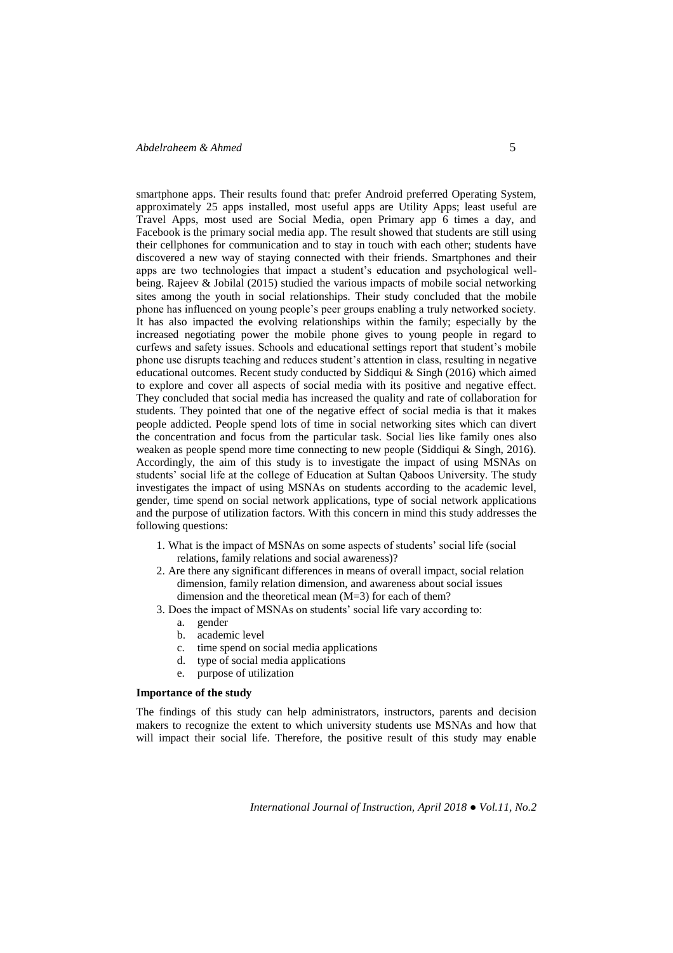smartphone apps. Their results found that: prefer Android preferred Operating System, approximately 25 apps installed, most useful apps are Utility Apps; least useful are Travel Apps, most used are Social Media, open Primary app 6 times a day, and Facebook is the primary social media app. The result showed that students are still using their cellphones for communication and to stay in touch with each other; students have discovered a new way of staying connected with their friends. Smartphones and their apps are two technologies that impact a student's education and psychological wellbeing. Rajeev & Jobilal (2015) studied the various impacts of mobile social networking sites among the youth in social relationships. Their study concluded that the mobile phone has influenced on young people's peer groups enabling a truly networked society. It has also impacted the evolving relationships within the family; especially by the increased negotiating power the mobile phone gives to young people in regard to curfews and safety issues. Schools and educational settings report that student's mobile phone use disrupts teaching and reduces student's attention in class, resulting in negative educational outcomes. Recent study conducted by Siddiqui & Singh (2016) which aimed to explore and cover all aspects of social media with its positive and negative effect. They concluded that social media has increased the quality and rate of collaboration for students. They pointed that one of the negative effect of social media is that it makes people addicted. People spend lots of time in social networking sites which can divert the concentration and focus from the particular task. Social lies like family ones also weaken as people spend more time connecting to new people (Siddiqui & Singh, 2016). Accordingly, the aim of this study is to investigate the impact of using MSNAs on students' social life at the college of Education at Sultan Qaboos University. The study investigates the impact of using MSNAs on students according to the academic level, gender, time spend on social network applications, type of social network applications and the purpose of utilization factors. With this concern in mind this study addresses the following questions:

- 1. What is the impact of MSNAs on some aspects of students' social life (social relations, family relations and social awareness)?
- 2. Are there any significant differences in means of overall impact, social relation dimension, family relation dimension, and awareness about social issues dimension and the theoretical mean (M=3) for each of them?
- 3. Does the impact of MSNAs on students' social life vary according to:
	- a. gender
	- b. academic level
	- c. time spend on social media applications
	- d. type of social media applications
	- e. purpose of utilization

## **Importance of the study**

The findings of this study can help administrators, instructors, parents and decision makers to recognize the extent to which university students use MSNAs and how that will impact their social life. Therefore, the positive result of this study may enable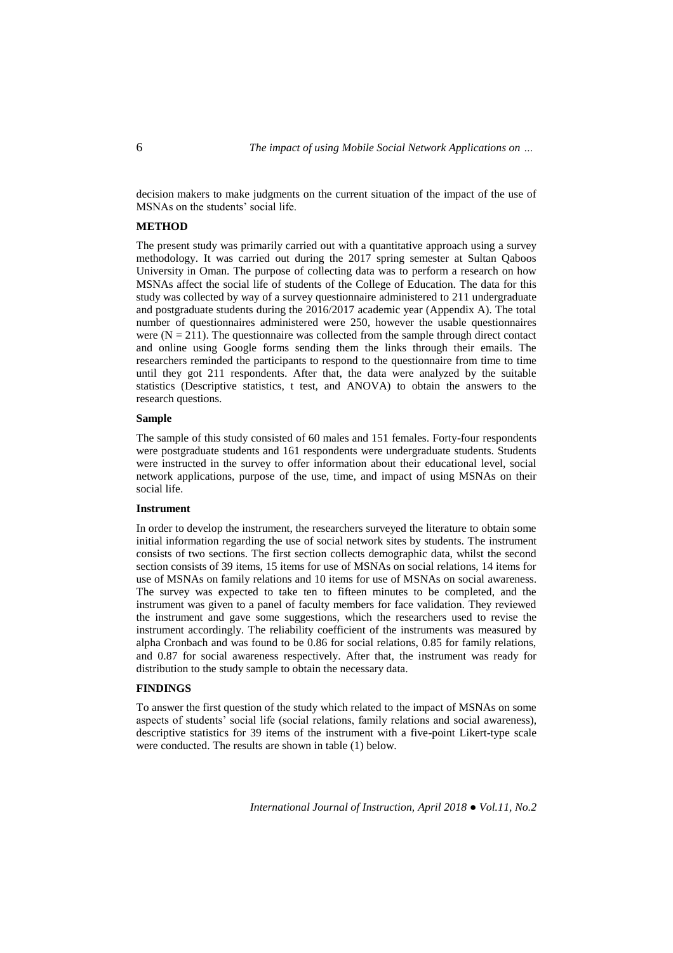decision makers to make judgments on the current situation of the impact of the use of MSNAs on the students' social life.

#### **METHOD**

The present study was primarily carried out with a quantitative approach using a survey methodology. It was carried out during the 2017 spring semester at Sultan Qaboos University in Oman. The purpose of collecting data was to perform a research on how MSNAs affect the social life of students of the College of Education. The data for this study was collected by way of a survey questionnaire administered to 211 undergraduate and postgraduate students during the 2016/2017 academic year (Appendix A). The total number of questionnaires administered were 250, however the usable questionnaires were  $(N = 211)$ . The questionnaire was collected from the sample through direct contact and online using Google forms sending them the links through their emails. The researchers reminded the participants to respond to the questionnaire from time to time until they got 211 respondents. After that, the data were analyzed by the suitable statistics (Descriptive statistics, t test, and ANOVA) to obtain the answers to the research questions.

### **Sample**

The sample of this study consisted of 60 males and 151 females. Forty-four respondents were postgraduate students and 161 respondents were undergraduate students. Students were instructed in the survey to offer information about their educational level, social network applications, purpose of the use, time, and impact of using MSNAs on their social life.

### **Instrument**

In order to develop the instrument, the researchers surveyed the literature to obtain some initial information regarding the use of social network sites by students. The instrument consists of two sections. The first section collects demographic data, whilst the second section consists of 39 items, 15 items for use of MSNAs on social relations, 14 items for use of MSNAs on family relations and 10 items for use of MSNAs on social awareness. The survey was expected to take ten to fifteen minutes to be completed, and the instrument was given to a panel of faculty members for face validation. They reviewed the instrument and gave some suggestions, which the researchers used to revise the instrument accordingly. The reliability coefficient of the instruments was measured by alpha Cronbach and was found to be 0.86 for social relations, 0.85 for family relations, and 0.87 for social awareness respectively. After that, the instrument was ready for distribution to the study sample to obtain the necessary data.

### **FINDINGS**

To answer the first question of the study which related to the impact of MSNAs on some aspects of students' social life (social relations, family relations and social awareness), descriptive statistics for 39 items of the instrument with a five-point Likert-type scale were conducted. The results are shown in table (1) below.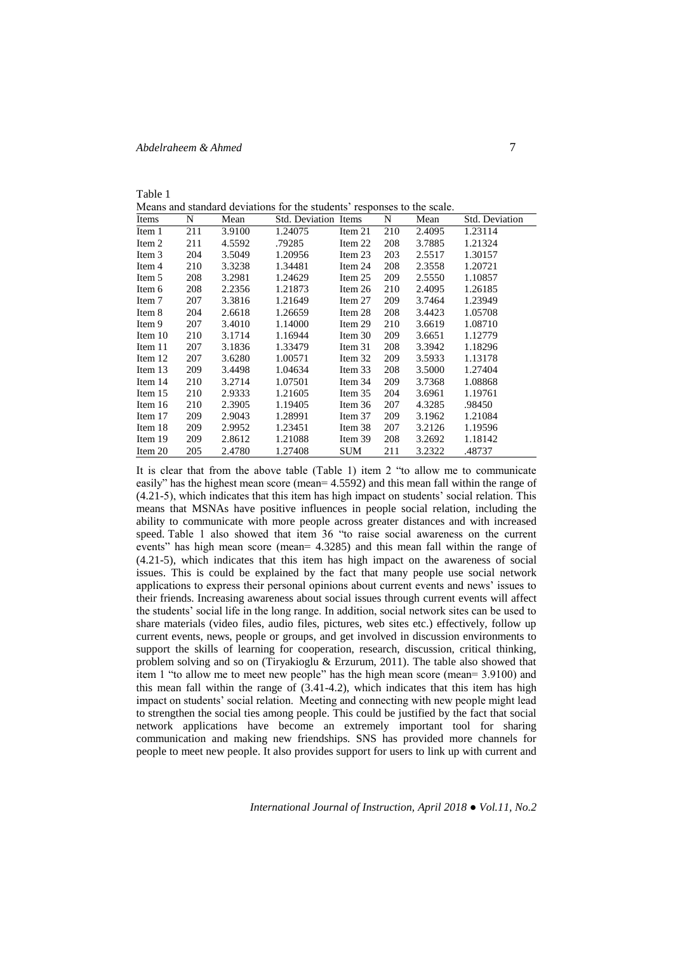Table 1

| Means and standard deviations for the students' responses to the scale. |  |  |
|-------------------------------------------------------------------------|--|--|

| Items     | N   | Mean   | <b>Std. Deviation Items</b> |            | N   | Mean   | Std. Deviation |
|-----------|-----|--------|-----------------------------|------------|-----|--------|----------------|
| Item 1    | 211 | 3.9100 | 1.24075                     | Item $21$  | 210 | 2.4095 | 1.23114        |
| Item 2    | 211 | 4.5592 | .79285                      | Item 22    | 208 | 3.7885 | 1.21324        |
| Item 3    | 204 | 3.5049 | 1.20956                     | Item 23    | 203 | 2.5517 | 1.30157        |
| Item 4    | 210 | 3.3238 | 1.34481                     | Item 24    | 208 | 2.3558 | 1.20721        |
| Item 5    | 208 | 3.2981 | 1.24629                     | Item $25$  | 209 | 2.5550 | 1.10857        |
| Item 6    | 208 | 2.2356 | 1.21873                     | Item 26    | 210 | 2.4095 | 1.26185        |
| Item 7    | 207 | 3.3816 | 1.21649                     | Item 27    | 209 | 3.7464 | 1.23949        |
| Item 8    | 204 | 2.6618 | 1.26659                     | Item 28    | 208 | 3.4423 | 1.05708        |
| Item 9    | 207 | 3.4010 | 1.14000                     | Item 29    | 210 | 3.6619 | 1.08710        |
| Item 10   | 210 | 3.1714 | 1.16944                     | Item 30    | 209 | 3.6651 | 1.12779        |
| Item 11   | 207 | 3.1836 | 1.33479                     | Item $31$  | 208 | 3.3942 | 1.18296        |
| Item 12   | 207 | 3.6280 | 1.00571                     | Item 32    | 209 | 3.5933 | 1.13178        |
| Item $13$ | 209 | 3.4498 | 1.04634                     | Item 33    | 208 | 3.5000 | 1.27404        |
| Item $14$ | 210 | 3.2714 | 1.07501                     | Item $34$  | 209 | 3.7368 | 1.08868        |
| Item 15   | 210 | 2.9333 | 1.21605                     | Item 35    | 204 | 3.6961 | 1.19761        |
| Item $16$ | 210 | 2.3905 | 1.19405                     | Item 36    | 207 | 4.3285 | .98450         |
| Item 17   | 209 | 2.9043 | 1.28991                     | Item 37    | 209 | 3.1962 | 1.21084        |
| Item 18   | 209 | 2.9952 | 1.23451                     | Item 38    | 207 | 3.2126 | 1.19596        |
| Item 19   | 209 | 2.8612 | 1.21088                     | Item 39    | 208 | 3.2692 | 1.18142        |
| Item $20$ | 205 | 2.4780 | 1.27408                     | <b>SUM</b> | 211 | 3.2322 | .48737         |

It is clear that from the above table (Table 1) item 2 "to allow me to communicate easily" has the highest mean score (mean= 4.5592) and this mean fall within the range of (4.21-5), which indicates that this item has high impact on students' social relation. This means that MSNAs have positive influences in people social relation, including the ability to communicate with more people across greater distances and with increased speed. Table 1 also showed that item 36 "to raise social awareness on the current events" has high mean score (mean= 4.3285) and this mean fall within the range of (4.21-5), which indicates that this item has high impact on the awareness of social issues. This is could be explained by the fact that many people use social network applications to express their personal opinions about current events and news' issues to their friends. Increasing awareness about social issues through current events will affect the students' social life in the long range. In addition, social network sites can be used to share materials (video files, audio files, pictures, web sites etc.) effectively, follow up current events, news, people or groups, and get involved in discussion environments to support the skills of learning for cooperation, research, discussion, critical thinking, problem solving and so on (Tiryakioglu & Erzurum, 2011). The table also showed that item 1 "to allow me to meet new people" has the high mean score (mean= 3.9100) and this mean fall within the range of  $(3.41-4.2)$ , which indicates that this item has high impact on students' social relation. Meeting and connecting with new people might lead to strengthen the social ties among people. This could be justified by the fact that social network applications have become an extremely important tool for sharing communication and making new friendships. SNS has provided more channels for people to meet new people. It also provides support for users to link up with current and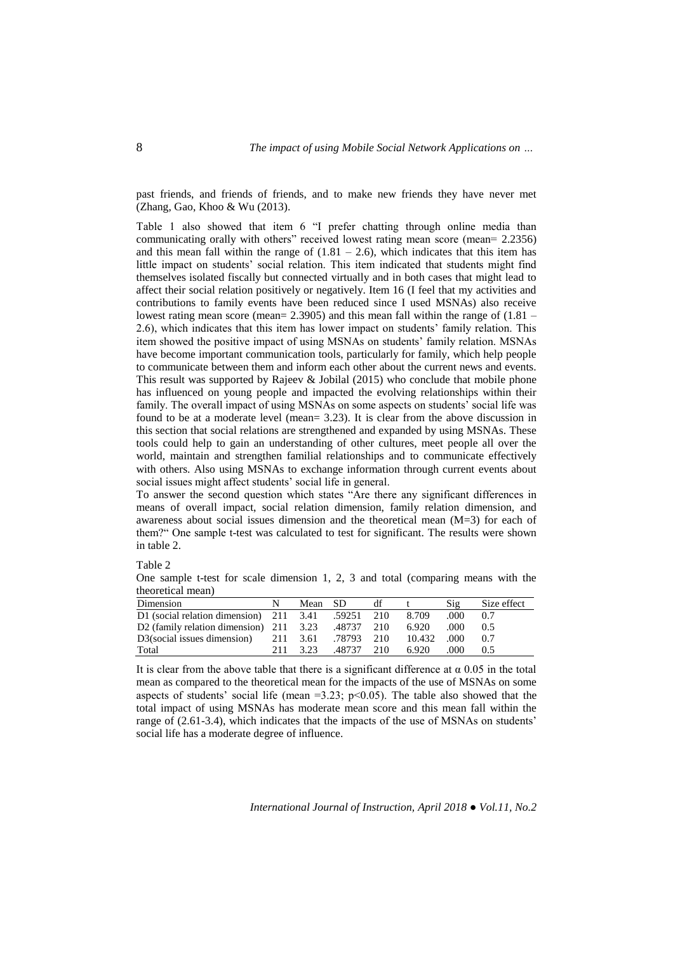past friends, and friends of friends, and to make new friends they have never met (Zhang, Gao, Khoo & Wu (2013).

Table 1 also showed that item 6 "I prefer chatting through online media than communicating orally with others" received lowest rating mean score (mean= 2.2356) and this mean fall within the range of  $(1.81 - 2.6)$ , which indicates that this item has little impact on students' social relation. This item indicated that students might find themselves isolated fiscally but connected virtually and in both cases that might lead to affect their social relation positively or negatively. Item 16 (I feel that my activities and contributions to family events have been reduced since I used MSNAs) also receive lowest rating mean score (mean= 2.3905) and this mean fall within the range of (1.81 – 2.6), which indicates that this item has lower impact on students' family relation. This item showed the positive impact of using MSNAs on students' family relation. MSNAs have become important communication tools, particularly for family, which help people to communicate between them and inform each other about the current news and events. This result was supported by Rajeev & Jobilal (2015) who conclude that mobile phone has influenced on young people and impacted the evolving relationships within their family. The overall impact of using MSNAs on some aspects on students' social life was found to be at a moderate level (mean= 3.23). It is clear from the above discussion in this section that social relations are strengthened and expanded by using MSNAs. These tools could help to gain an understanding of other cultures, meet people all over the world, maintain and strengthen familial relationships and to communicate effectively with others. Also using MSNAs to exchange information through current events about social issues might affect students' social life in general.

To answer the second question which states "Are there any significant differences in means of overall impact, social relation dimension, family relation dimension, and awareness about social issues dimension and the theoretical mean (M=3) for each of them?" One sample t-test was calculated to test for significant. The results were shown in table 2.

Table 2

One sample t-test for scale dimension 1, 2, 3 and total (comparing means with the theoretical mean)

| Dimension                                 |     | Mean SD |            | df  |        | $\mathrm{Sig}$ | Size effect |
|-------------------------------------------|-----|---------|------------|-----|--------|----------------|-------------|
| D1 (social relation dimension) $211$ 3.41 |     |         | .59251 210 |     | 8.709  | .000           |             |
| D2 (family relation dimension) $211$ 3.23 |     |         | .48737 210 |     | 6.920  | .000.          |             |
| D3(social issues dimension) $211$ 3.61    |     |         | .78793 210 |     | 10.432 | .000.          |             |
| Total                                     | 211 | 3.23    | .48737     | 210 | 6.920  | .000.          |             |

It is clear from the above table that there is a significant difference at  $\alpha$  0.05 in the total mean as compared to the theoretical mean for the impacts of the use of MSNAs on some aspects of students' social life (mean  $=3.23$ ; p $< 0.05$ ). The table also showed that the total impact of using MSNAs has moderate mean score and this mean fall within the range of (2.61-3.4), which indicates that the impacts of the use of MSNAs on students' social life has a moderate degree of influence.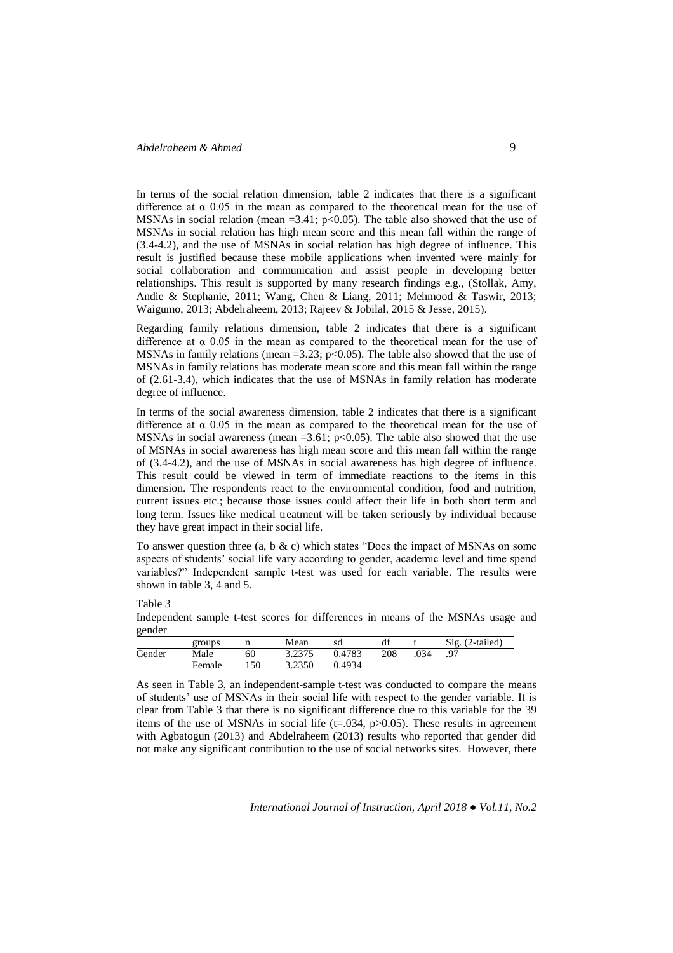In terms of the social relation dimension, table 2 indicates that there is a significant difference at  $\alpha$  0.05 in the mean as compared to the theoretical mean for the use of MSNAs in social relation (mean  $=3.41$ ; p<0.05). The table also showed that the use of MSNAs in social relation has high mean score and this mean fall within the range of (3.4-4.2), and the use of MSNAs in social relation has high degree of influence. This result is justified because these mobile applications when invented were mainly for social collaboration and communication and assist people in developing better relationships. This result is supported by many research findings e.g., (Stollak, Amy, Andie & Stephanie, 2011; Wang, Chen & Liang, 2011; Mehmood & Taswir, 2013; Waigumo, 2013; Abdelraheem, 2013; Rajeev & Jobilal, 2015 & Jesse, 2015).

Regarding family relations dimension, table 2 indicates that there is a significant difference at  $\alpha$  0.05 in the mean as compared to the theoretical mean for the use of MSNAs in family relations (mean  $=3.23$ ; p<0.05). The table also showed that the use of MSNAs in family relations has moderate mean score and this mean fall within the range of (2.61-3.4), which indicates that the use of MSNAs in family relation has moderate degree of influence.

In terms of the social awareness dimension, table 2 indicates that there is a significant difference at  $\alpha$  0.05 in the mean as compared to the theoretical mean for the use of MSNAs in social awareness (mean  $=3.61$ ; p<0.05). The table also showed that the use of MSNAs in social awareness has high mean score and this mean fall within the range of (3.4-4.2), and the use of MSNAs in social awareness has high degree of influence. This result could be viewed in term of immediate reactions to the items in this dimension. The respondents react to the environmental condition, food and nutrition, current issues etc.; because those issues could affect their life in both short term and long term. Issues like medical treatment will be taken seriously by individual because they have great impact in their social life.

To answer question three (a, b  $\&$  c) which states "Does the impact of MSNAs on some aspects of students' social life vary according to gender, academic level and time spend variables?" Independent sample t-test was used for each variable. The results were shown in table 3, 4 and 5.

Table 3

Independent sample t-test scores for differences in means of the MSNAs usage and gender

| 5      |        |     |        |        |     |      |                   |
|--------|--------|-----|--------|--------|-----|------|-------------------|
|        | groups |     | Mean   | sd     | df  |      | $Sig. (2-tailed)$ |
| Gender | Male   | 60  | 3.2375 | 0.4783 | 208 | .034 |                   |
|        | Female | 150 | 3.2350 | 0.4934 |     |      |                   |

As seen in Table 3, an independent-sample t-test was conducted to compare the means of students' use of MSNAs in their social life with respect to the gender variable. It is clear from Table 3 that there is no significant difference due to this variable for the 39 items of the use of MSNAs in social life  $(t=0.034, p>0.05)$ . These results in agreement with Agbatogun (2013) and Abdelraheem (2013) results who reported that gender did not make any significant contribution to the use of social networks sites. However, there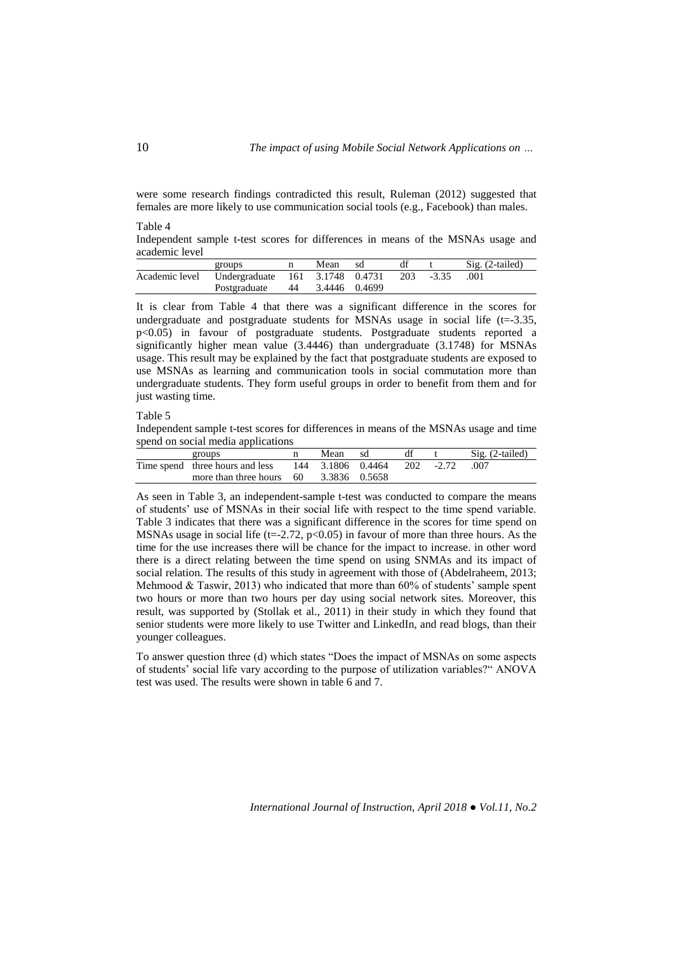were some research findings contradicted this result, Ruleman (2012) suggested that females are more likely to use communication social tools (e.g., Facebook) than males.

#### Table 4

Independent sample t-test scores for differences in means of the MSNAs usage and academic level

| groups                                                         | n | Mean             | sd | df |           | $Sig. (2-tailed)$ |
|----------------------------------------------------------------|---|------------------|----|----|-----------|-------------------|
| Academic level Undergraduate 161 3.1748 0.4731<br>Postgraduate |   | 44 3.4446 0.4699 |    |    | 203 -3.35 | .001              |
|                                                                |   |                  |    |    |           |                   |

It is clear from Table 4 that there was a significant difference in the scores for undergraduate and postgraduate students for MSNAs usage in social life (t=-3.35, p<0.05) in favour of postgraduate students. Postgraduate students reported a significantly higher mean value (3.4446) than undergraduate (3.1748) for MSNAs usage. This result may be explained by the fact that postgraduate students are exposed to use MSNAs as learning and communication tools in social commutation more than undergraduate students. They form useful groups in order to benefit from them and for just wasting time.

Table 5

Independent sample t-test scores for differences in means of the MSNAs usage and time spend on social media applications

| groups                                                           | Mean | — sd | dt | $Sig. (2-tailed)$ |
|------------------------------------------------------------------|------|------|----|-------------------|
| Time spend three hours and less 144 3.1806 0.4464 202 -2.72 .007 |      |      |    |                   |
| more than three hours $60$ 3.3836 0.5658                         |      |      |    |                   |

As seen in Table 3, an independent-sample t-test was conducted to compare the means of students' use of MSNAs in their social life with respect to the time spend variable. Table 3 indicates that there was a significant difference in the scores for time spend on MSNAs usage in social life ( $t = -2.72$ ,  $p < 0.05$ ) in favour of more than three hours. As the time for the use increases there will be chance for the impact to increase. in other word there is a direct relating between the time spend on using SNMAs and its impact of social relation. The results of this study in agreement with those of (Abdelraheem, 2013; Mehmood & Taswir, 2013) who indicated that more than 60% of students' sample spent two hours or more than two hours per day using social network sites. Moreover, this result, was supported by (Stollak et al., 2011) in their study in which they found that senior students were more likely to use Twitter and LinkedIn, and read blogs, than their younger colleagues.

To answer question three (d) which states "Does the impact of MSNAs on some aspects of students' social life vary according to the purpose of utilization variables?" ANOVA test was used. The results were shown in table 6 and 7.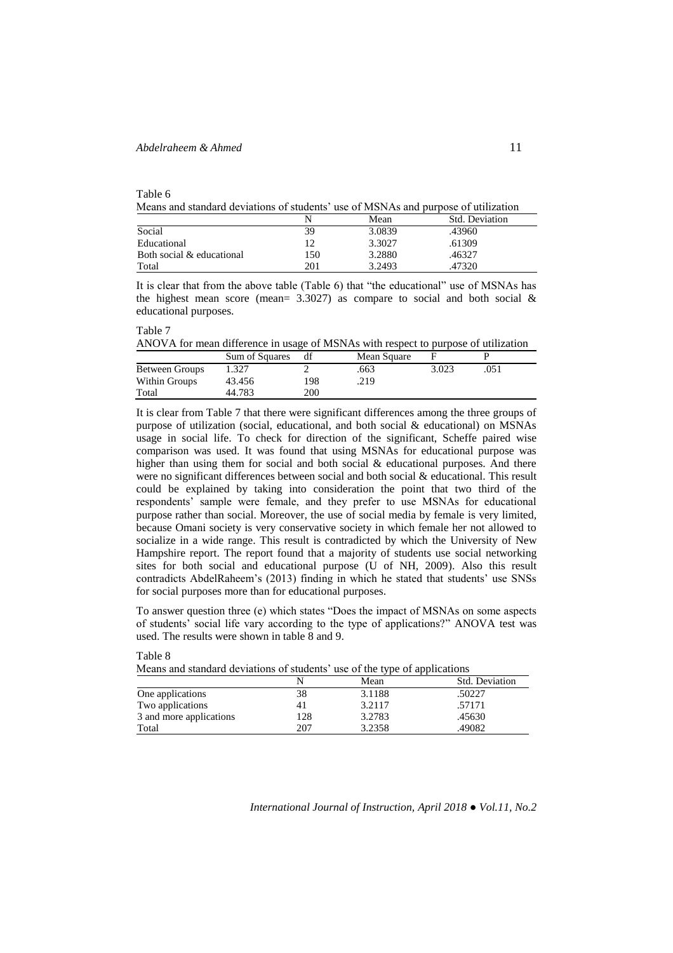Table 6 Means and standard deviations of students' use of MSNAs and purpose of utilization

|                           |     | Mean   | Std. Deviation |
|---------------------------|-----|--------|----------------|
| Social                    | 39  | 3.0839 | .43960         |
| Educational               | 12  | 3.3027 | .61309         |
| Both social & educational | 150 | 3.2880 | 46327          |
| Total                     | 201 | 3.2493 | 47320          |

It is clear that from the above table (Table 6) that "the educational" use of MSNAs has the highest mean score (mean=  $3.3027$ ) as compare to social and both social & educational purposes.

#### Table 7

ANOVA for mean difference in usage of MSNAs with respect to purpose of utilization

|                | Sum of Squares |     | Mean Square |       |     |  |
|----------------|----------------|-----|-------------|-------|-----|--|
| Between Groups | .327           |     | .663        | 3.023 | 051 |  |
| Within Groups  | 43.456         | 198 | .219        |       |     |  |
| Total          | 44.783         | 200 |             |       |     |  |

It is clear from Table 7 that there were significant differences among the three groups of purpose of utilization (social, educational, and both social & educational) on MSNAs usage in social life. To check for direction of the significant, Scheffe paired wise comparison was used. It was found that using MSNAs for educational purpose was higher than using them for social and both social  $\&$  educational purposes. And there were no significant differences between social and both social & educational. This result could be explained by taking into consideration the point that two third of the respondents' sample were female, and they prefer to use MSNAs for educational purpose rather than social. Moreover, the use of social media by female is very limited, because Omani society is very conservative society in which female her not allowed to socialize in a wide range. This result is contradicted by which the University of New Hampshire report. The report found that a majority of students use social networking sites for both social and educational purpose (U of NH, 2009). Also this result contradicts AbdelRaheem's (2013) finding in which he stated that students' use SNSs for social purposes more than for educational purposes.

To answer question three (e) which states "Does the impact of MSNAs on some aspects of students' social life vary according to the type of applications?" ANOVA test was used. The results were shown in table 8 and 9.

|                         | ivically and standard deviations of students use of the type of applications |        |                |
|-------------------------|------------------------------------------------------------------------------|--------|----------------|
|                         |                                                                              | Mean   | Std. Deviation |
| One applications        | 38                                                                           | 3.1188 | .50227         |
| Two applications        | 41                                                                           | 3.2117 | .57171         |
| 3 and more applications | 128                                                                          | 3.2783 | .45630         |
| Total                   | 207                                                                          | 3.2358 | .49082         |

#### Table 8

Means and standard deviations of students' use of the type of applications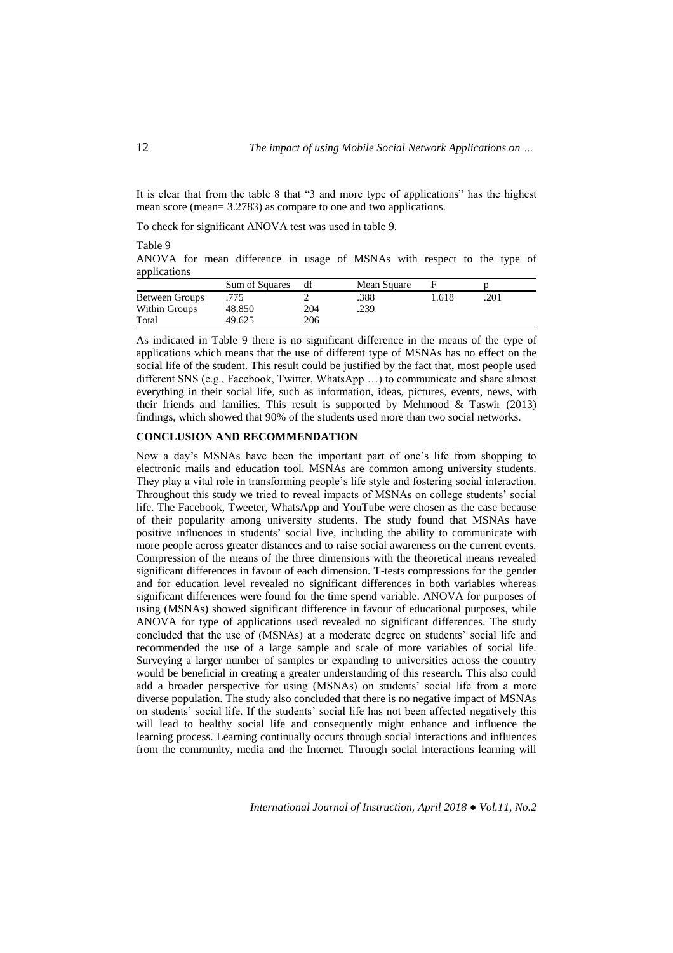It is clear that from the table 8 that "3 and more type of applications" has the highest mean score (mean= 3.2783) as compare to one and two applications.

To check for significant ANOVA test was used in table 9.

Table 9

ANOVA for mean difference in usage of MSNAs with respect to the type of applications

|                | Sum of Squares |     | Mean Square |       |      |  |
|----------------|----------------|-----|-------------|-------|------|--|
| Between Groups | 775            |     | .388        | 1.618 | .201 |  |
| Within Groups  | 48.850         | 204 | .239        |       |      |  |
| Total          | 49.625         | 206 |             |       |      |  |

As indicated in Table 9 there is no significant difference in the means of the type of applications which means that the use of different type of MSNAs has no effect on the social life of the student. This result could be justified by the fact that, most people used different SNS (e.g., Facebook, Twitter, WhatsApp …) to communicate and share almost everything in their social life, such as information, ideas, pictures, events, news, with their friends and families. This result is supported by Mehmood & Taswir (2013) findings, which showed that 90% of the students used more than two social networks.

# **CONCLUSION AND RECOMMENDATION**

Now a day's MSNAs have been the important part of one's life from shopping to electronic mails and education tool. MSNAs are common among university students. They play a vital role in transforming people's life style and fostering social interaction. Throughout this study we tried to reveal impacts of MSNAs on college students' social life. The Facebook, Tweeter, WhatsApp and YouTube were chosen as the case because of their popularity among university students. The study found that MSNAs have positive influences in students' social live, including the ability to communicate with more people across greater distances and to raise social awareness on the current events. Compression of the means of the three dimensions with the theoretical means revealed significant differences in favour of each dimension. T-tests compressions for the gender and for education level revealed no significant differences in both variables whereas significant differences were found for the time spend variable. ANOVA for purposes of using (MSNAs) showed significant difference in favour of educational purposes, while ANOVA for type of applications used revealed no significant differences. The study concluded that the use of (MSNAs) at a moderate degree on students' social life and recommended the use of a large sample and scale of more variables of social life. Surveying a larger number of samples or expanding to universities across the country would be beneficial in creating a greater understanding of this research. This also could add a broader perspective for using (MSNAs) on students' social life from a more diverse population. The study also concluded that there is no negative impact of MSNAs on students' social life. If the students' social life has not been affected negatively this will lead to healthy social life and consequently might enhance and influence the learning process. Learning continually occurs through social interactions and influences from the community, media and the Internet. Through social interactions learning will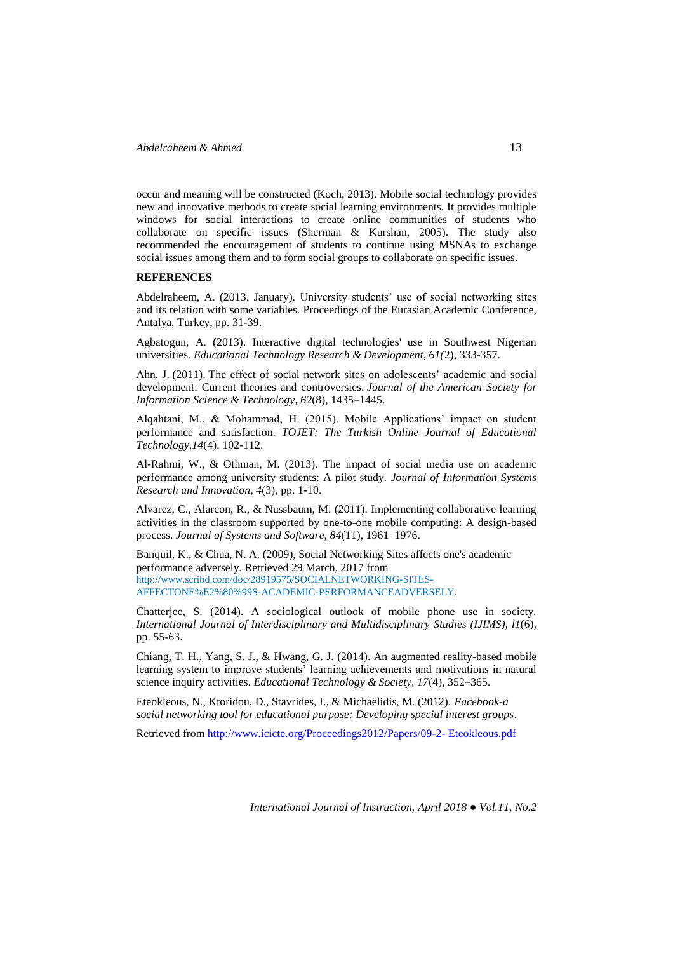occur and meaning will be constructed (Koch, 2013). Mobile social technology provides new and innovative methods to create social learning environments. It provides multiple windows for social interactions to create online communities of students who collaborate on specific issues (Sherman & Kurshan, 2005). The study also recommended the encouragement of students to continue using MSNAs to exchange social issues among them and to form social groups to collaborate on specific issues.

#### **REFERENCES**

Abdelraheem, A. (2013, January). University students' use of social networking sites and its relation with some variables. Proceedings of the Eurasian Academic Conference, Antalya, Turkey, pp. 31-39.

Agbatogun, A. (2013). Interactive digital technologies' use in Southwest Nigerian universities. *Educational Technology Research & Development, 61(*2), 333-357.

Ahn, J. (2011). The effect of social network sites on adolescents' academic and social development: Current theories and controversies. *Journal of the American Society for Information Science & Technology, 62*(8), 1435–1445.

Alqahtani, M., & Mohammad, H. (2015). Mobile Applications' impact on student performance and satisfaction. *TOJET: The Turkish Online Journal of Educational Technology,14*(4), 102-112.

Al-Rahmi, W., & Othman, M. (2013). The impact of social media use on academic performance among university students: A pilot study. *Journal of Information Systems Research and Innovation, 4*(3), pp. 1-10.

Alvarez, C., Alarcon, R., & Nussbaum, M. (2011). Implementing collaborative learning activities in the classroom supported by one-to-one mobile computing: A design-based process. *Journal of Systems and Software, 84*(11), 1961–1976.

Banquil, K., & Chua, N. A. (2009), Social Networking Sites affects one's academic performance adversely. Retrieved 29 March, 2017 from [http://www.scribd.com/doc/28919575/SOCIALNETWORKING-SITES-](http://www.scribd.com/doc/28919575/SOCIALNETWORKING-SITES-AFFECTONE%E2%80%99S-ACADEMIC-PERFORMANCEADVERSELY)[AFFECTONE%E2%80%99S-ACADEMIC-PERFORMANCEADVERSELY](http://www.scribd.com/doc/28919575/SOCIALNETWORKING-SITES-AFFECTONE%E2%80%99S-ACADEMIC-PERFORMANCEADVERSELY).

Chatterjee, S. (2014). A sociological outlook of mobile phone use in society. *International Journal of Interdisciplinary and Multidisciplinary Studies (IJIMS), l1*(6), pp. 55-63.

Chiang, T. H., Yang, S. J., & Hwang, G. J. (2014). An augmented reality-based mobile learning system to improve students' learning achievements and motivations in natural science inquiry activities. *Educational Technology & Society, 17*(4), 352–365.

Eteokleous, N., Ktoridou, D., Stavrides, I., & Michaelidis, M. (2012). *Facebook-a social networking tool for educational purpose: Developing special interest groups*.

Retrieved fro[m http://www.icicte.org/Proceedings2012/Papers/09-2-](http://www.icicte.org/Proceedings2012/Papers/09-2-%20Eteokleous.pdf) Eteokleous.pdf